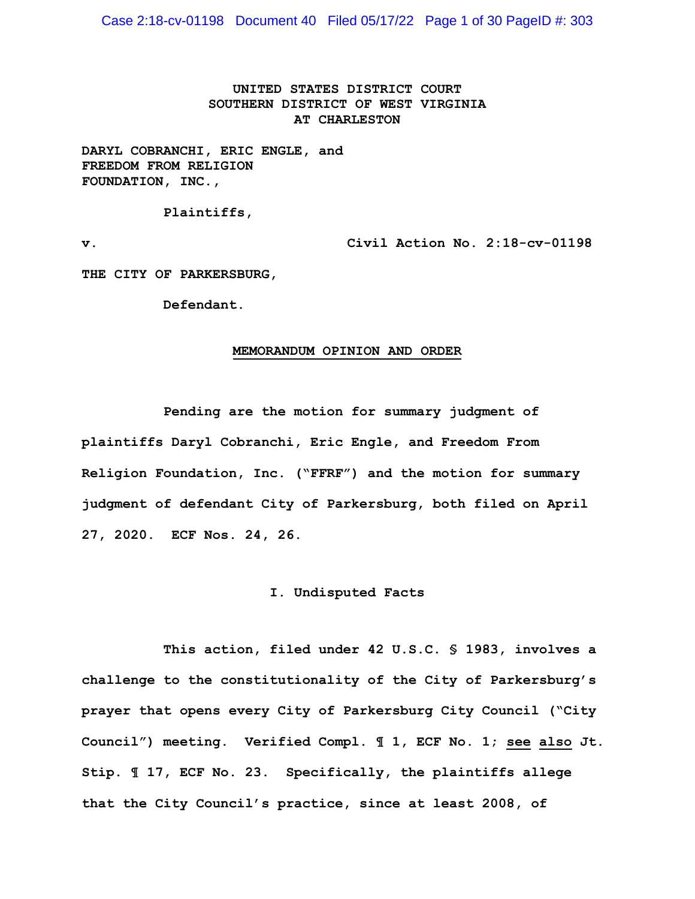Case 2:18-cv-01198 Document 40 Filed 05/17/22 Page 1 of 30 PageID #: 303

# **UNITED STATES DISTRICT COURT SOUTHERN DISTRICT OF WEST VIRGINIA AT CHARLESTON**

**DARYL COBRANCHI, ERIC ENGLE, and FREEDOM FROM RELIGION FOUNDATION, INC.,** 

**Plaintiffs,** 

**v. Civil Action No. 2:18-cv-01198** 

**THE CITY OF PARKERSBURG,** 

**Defendant.** 

#### **MEMORANDUM OPINION AND ORDER**

**Pending are the motion for summary judgment of plaintiffs Daryl Cobranchi, Eric Engle, and Freedom From Religion Foundation, Inc. ("FFRF") and the motion for summary judgment of defendant City of Parkersburg, both filed on April 27, 2020. ECF Nos. 24, 26.** 

### **I. Undisputed Facts**

**This action, filed under 42 U.S.C. § 1983, involves a challenge to the constitutionality of the City of Parkersburg's prayer that opens every City of Parkersburg City Council ("City Council") meeting. Verified Compl. ¶ 1, ECF No. 1; see also Jt. Stip. ¶ 17, ECF No. 23. Specifically, the plaintiffs allege that the City Council's practice, since at least 2008, of**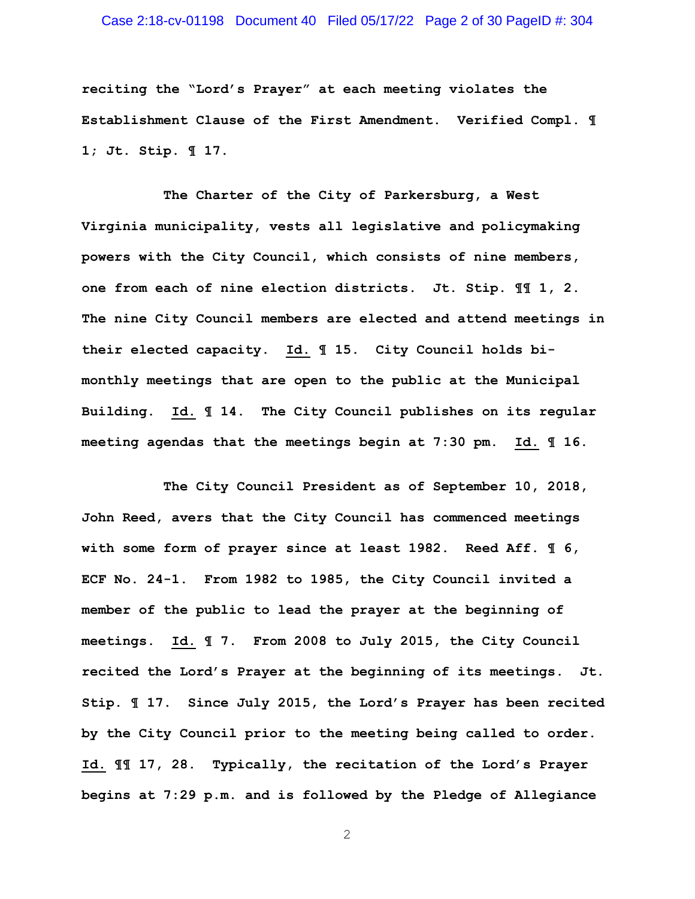# Case 2:18-cv-01198 Document 40 Filed 05/17/22 Page 2 of 30 PageID #: 304

**reciting the "Lord's Prayer" at each meeting violates the Establishment Clause of the First Amendment. Verified Compl. ¶ 1; Jt. Stip. ¶ 17.** 

**The Charter of the City of Parkersburg, a West Virginia municipality, vests all legislative and policymaking powers with the City Council, which consists of nine members, one from each of nine election districts. Jt. Stip. ¶¶ 1, 2. The nine City Council members are elected and attend meetings in their elected capacity. Id. ¶ 15. City Council holds bimonthly meetings that are open to the public at the Municipal Building. Id. ¶ 14. The City Council publishes on its regular meeting agendas that the meetings begin at 7:30 pm. Id. ¶ 16.** 

**The City Council President as of September 10, 2018, John Reed, avers that the City Council has commenced meetings with some form of prayer since at least 1982. Reed Aff. ¶ 6, ECF No. 24-1. From 1982 to 1985, the City Council invited a member of the public to lead the prayer at the beginning of meetings. Id. ¶ 7. From 2008 to July 2015, the City Council recited the Lord's Prayer at the beginning of its meetings. Jt. Stip. ¶ 17. Since July 2015, the Lord's Prayer has been recited by the City Council prior to the meeting being called to order. Id. ¶¶ 17, 28. Typically, the recitation of the Lord's Prayer begins at 7:29 p.m. and is followed by the Pledge of Allegiance**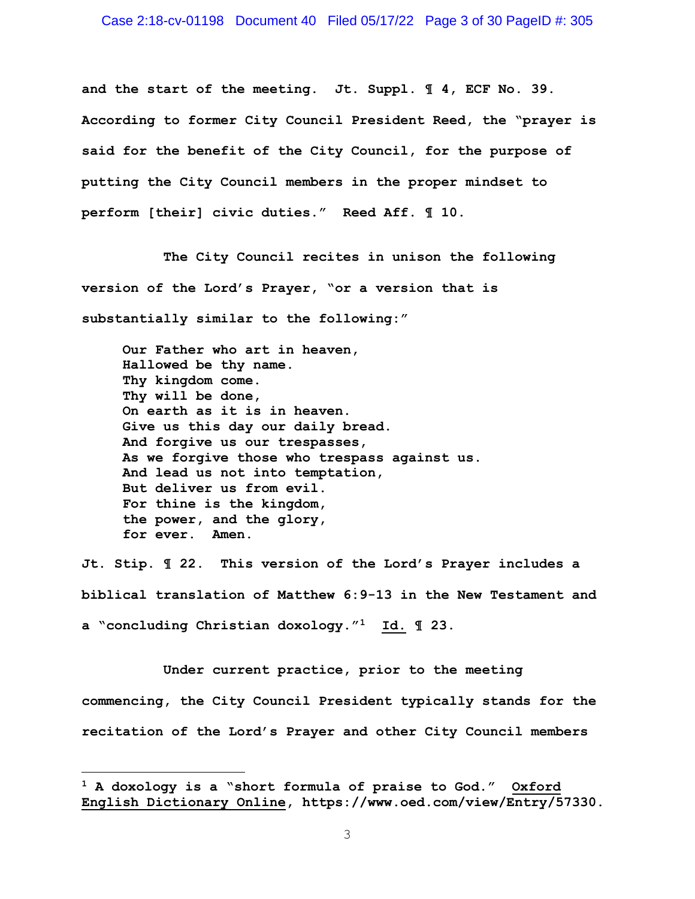#### Case 2:18-cv-01198 Document 40 Filed 05/17/22 Page 3 of 30 PageID #: 305

**and the start of the meeting. Jt. Suppl. ¶ 4, ECF No. 39. According to former City Council President Reed, the "prayer is said for the benefit of the City Council, for the purpose of putting the City Council members in the proper mindset to perform [their] civic duties." Reed Aff. ¶ 10.** 

**The City Council recites in unison the following version of the Lord's Prayer, "or a version that is substantially similar to the following:"** 

**Our Father who art in heaven, Hallowed be thy name. Thy kingdom come. Thy will be done, On earth as it is in heaven. Give us this day our daily bread. And forgive us our trespasses, As we forgive those who trespass against us. And lead us not into temptation, But deliver us from evil. For thine is the kingdom, the power, and the glory, for ever. Amen.** 

**Jt. Stip. ¶ 22. This version of the Lord's Prayer includes a biblical translation of Matthew 6:9-13 in the New Testament and a "concluding Christian doxology."1 Id. ¶ 23.** 

**Under current practice, prior to the meeting commencing, the City Council President typically stands for the recitation of the Lord's Prayer and other City Council members** 

**<sup>1</sup> A doxology is a "short formula of praise to God." Oxford English Dictionary Online, https://www.oed.com/view/Entry/57330.**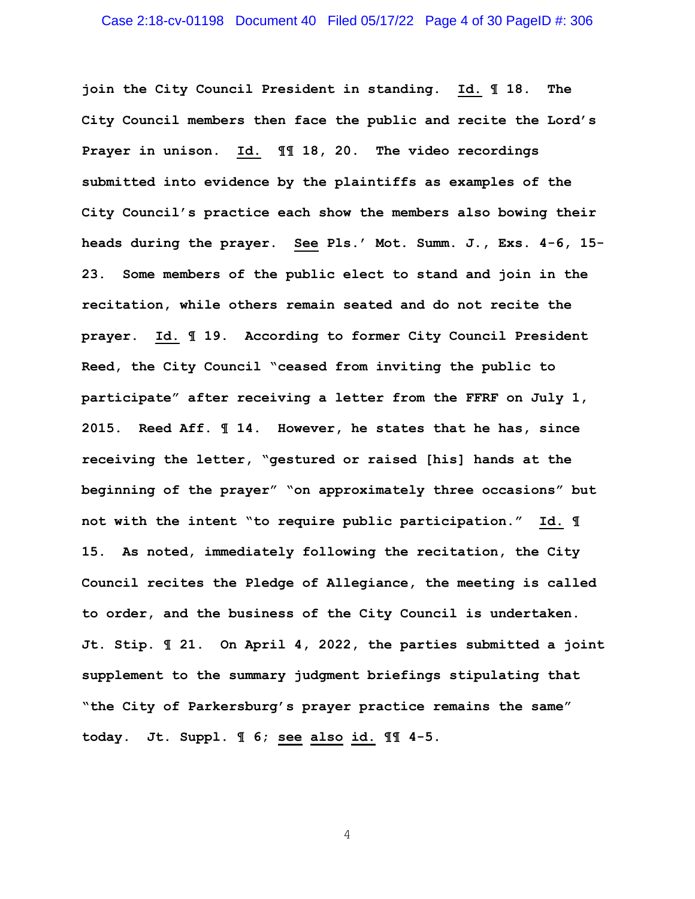## Case 2:18-cv-01198 Document 40 Filed 05/17/22 Page 4 of 30 PageID #: 306

**join the City Council President in standing. Id. ¶ 18. The City Council members then face the public and recite the Lord's Prayer in unison. Id. ¶¶ 18, 20. The video recordings submitted into evidence by the plaintiffs as examples of the City Council's practice each show the members also bowing their heads during the prayer. See Pls.' Mot. Summ. J., Exs. 4-6, 15- 23. Some members of the public elect to stand and join in the recitation, while others remain seated and do not recite the prayer. Id. ¶ 19. According to former City Council President Reed, the City Council "ceased from inviting the public to participate" after receiving a letter from the FFRF on July 1, 2015. Reed Aff. ¶ 14. However, he states that he has, since receiving the letter, "gestured or raised [his] hands at the beginning of the prayer" "on approximately three occasions" but not with the intent "to require public participation." Id. ¶ 15. As noted, immediately following the recitation, the City Council recites the Pledge of Allegiance, the meeting is called to order, and the business of the City Council is undertaken. Jt. Stip. ¶ 21. On April 4, 2022, the parties submitted a joint supplement to the summary judgment briefings stipulating that "the City of Parkersburg's prayer practice remains the same" today. Jt. Suppl. ¶ 6; see also id. ¶¶ 4-5.**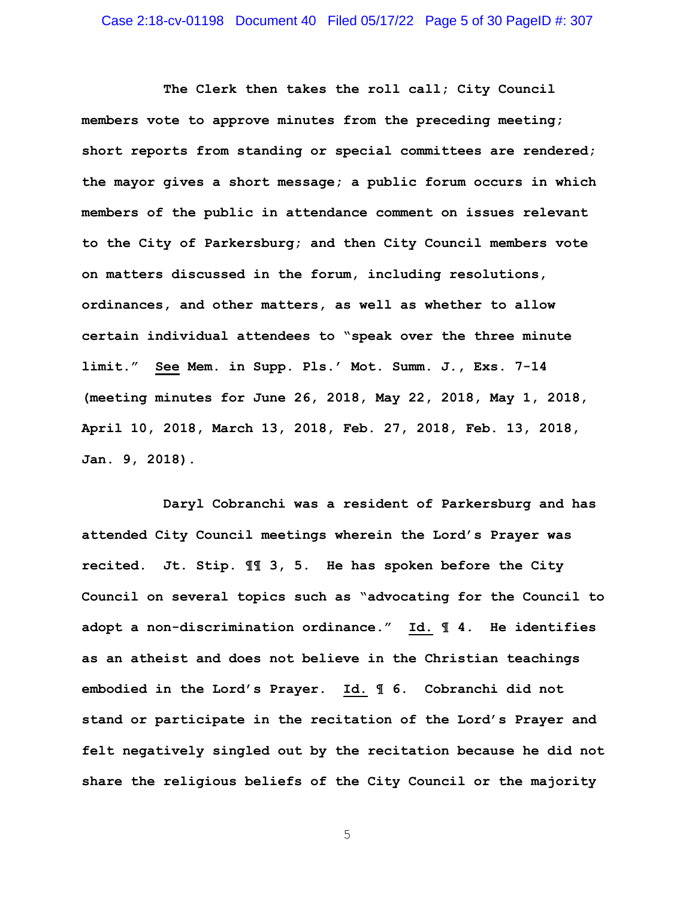## Case 2:18-cv-01198 Document 40 Filed 05/17/22 Page 5 of 30 PageID #: 307

**The Clerk then takes the roll call; City Council members vote to approve minutes from the preceding meeting; short reports from standing or special committees are rendered; the mayor gives a short message; a public forum occurs in which members of the public in attendance comment on issues relevant to the City of Parkersburg; and then City Council members vote on matters discussed in the forum, including resolutions, ordinances, and other matters, as well as whether to allow certain individual attendees to "speak over the three minute limit." See Mem. in Supp. Pls.' Mot. Summ. J., Exs. 7-14 (meeting minutes for June 26, 2018, May 22, 2018, May 1, 2018, April 10, 2018, March 13, 2018, Feb. 27, 2018, Feb. 13, 2018, Jan. 9, 2018).** 

**Daryl Cobranchi was a resident of Parkersburg and has attended City Council meetings wherein the Lord's Prayer was recited. Jt. Stip. ¶¶ 3, 5. He has spoken before the City Council on several topics such as "advocating for the Council to adopt a non-discrimination ordinance." Id. ¶ 4. He identifies as an atheist and does not believe in the Christian teachings embodied in the Lord's Prayer. Id. ¶ 6. Cobranchi did not stand or participate in the recitation of the Lord's Prayer and felt negatively singled out by the recitation because he did not share the religious beliefs of the City Council or the majority**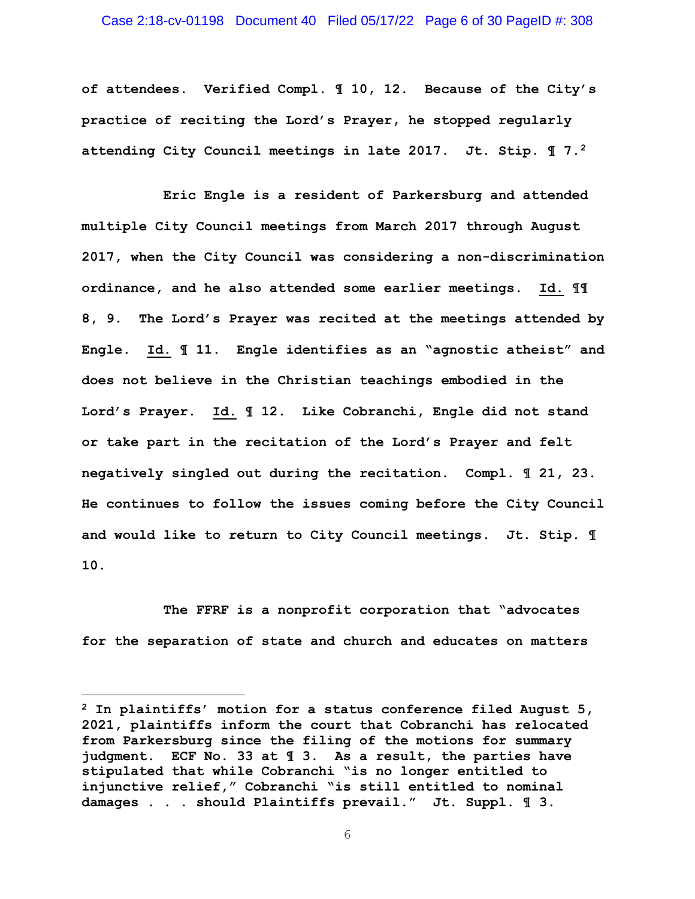#### Case 2:18-cv-01198 Document 40 Filed 05/17/22 Page 6 of 30 PageID #: 308

**of attendees. Verified Compl. ¶ 10, 12. Because of the City's practice of reciting the Lord's Prayer, he stopped regularly attending City Council meetings in late 2017. Jt. Stip. ¶ 7.2**

**Eric Engle is a resident of Parkersburg and attended multiple City Council meetings from March 2017 through August 2017, when the City Council was considering a non-discrimination ordinance, and he also attended some earlier meetings. Id. ¶¶ 8, 9. The Lord's Prayer was recited at the meetings attended by Engle. Id. ¶ 11. Engle identifies as an "agnostic atheist" and does not believe in the Christian teachings embodied in the Lord's Prayer. Id. ¶ 12. Like Cobranchi, Engle did not stand or take part in the recitation of the Lord's Prayer and felt negatively singled out during the recitation. Compl. ¶ 21, 23. He continues to follow the issues coming before the City Council and would like to return to City Council meetings. Jt. Stip. ¶ 10.** 

**The FFRF is a nonprofit corporation that "advocates for the separation of state and church and educates on matters** 

**<sup>2</sup> In plaintiffs' motion for a status conference filed August 5, 2021, plaintiffs inform the court that Cobranchi has relocated from Parkersburg since the filing of the motions for summary judgment. ECF No. 33 at ¶ 3. As a result, the parties have stipulated that while Cobranchi "is no longer entitled to injunctive relief," Cobranchi "is still entitled to nominal damages . . . should Plaintiffs prevail." Jt. Suppl. ¶ 3.**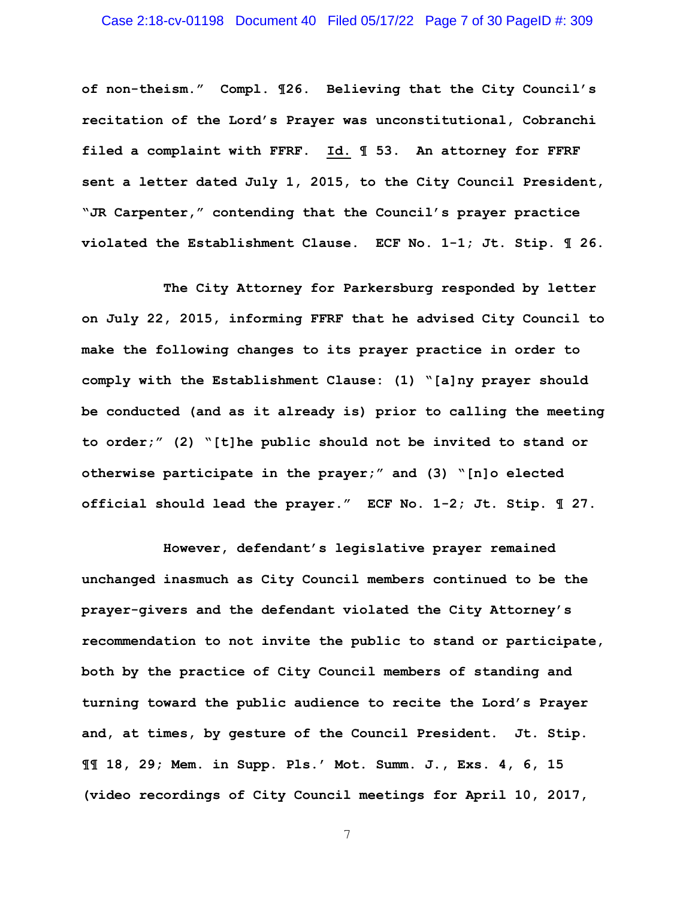# Case 2:18-cv-01198 Document 40 Filed 05/17/22 Page 7 of 30 PageID #: 309

**of non-theism." Compl. ¶26. Believing that the City Council's recitation of the Lord's Prayer was unconstitutional, Cobranchi filed a complaint with FFRF. Id. ¶ 53. An attorney for FFRF sent a letter dated July 1, 2015, to the City Council President, "JR Carpenter," contending that the Council's prayer practice violated the Establishment Clause. ECF No. 1-1; Jt. Stip. ¶ 26.** 

**The City Attorney for Parkersburg responded by letter on July 22, 2015, informing FFRF that he advised City Council to make the following changes to its prayer practice in order to comply with the Establishment Clause: (1) "[a]ny prayer should be conducted (and as it already is) prior to calling the meeting to order;" (2) "[t]he public should not be invited to stand or otherwise participate in the prayer;" and (3) "[n]o elected official should lead the prayer." ECF No. 1-2; Jt. Stip. ¶ 27.** 

**However, defendant's legislative prayer remained unchanged inasmuch as City Council members continued to be the prayer-givers and the defendant violated the City Attorney's recommendation to not invite the public to stand or participate, both by the practice of City Council members of standing and turning toward the public audience to recite the Lord's Prayer and, at times, by gesture of the Council President. Jt. Stip. ¶¶ 18, 29; Mem. in Supp. Pls.' Mot. Summ. J., Exs. 4, 6, 15 (video recordings of City Council meetings for April 10, 2017,**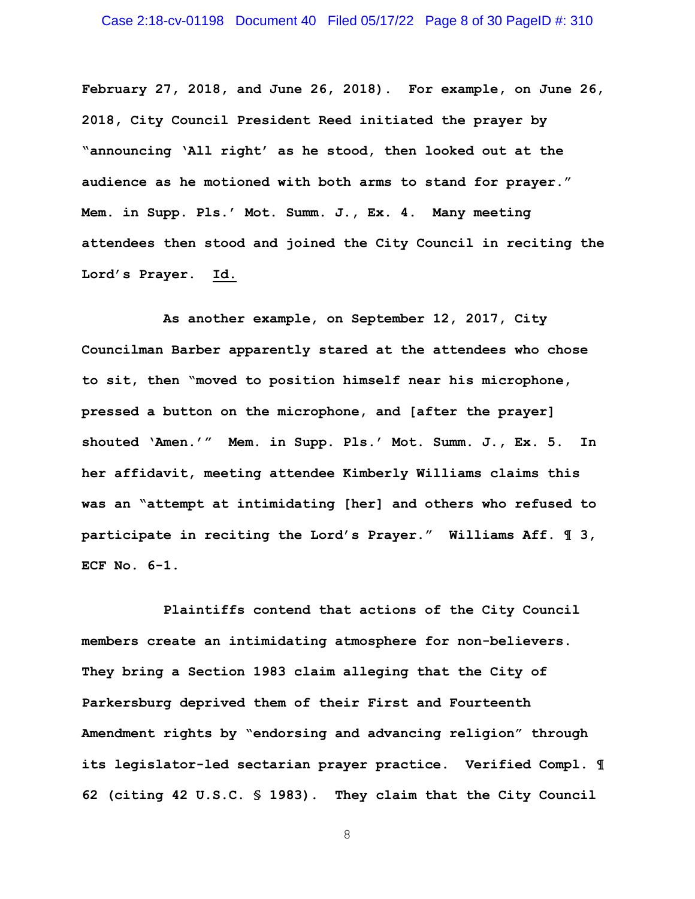## Case 2:18-cv-01198 Document 40 Filed 05/17/22 Page 8 of 30 PageID #: 310

**February 27, 2018, and June 26, 2018). For example, on June 26, 2018, City Council President Reed initiated the prayer by "announcing 'All right' as he stood, then looked out at the audience as he motioned with both arms to stand for prayer." Mem. in Supp. Pls.' Mot. Summ. J., Ex. 4. Many meeting attendees then stood and joined the City Council in reciting the Lord's Prayer. Id.** 

**As another example, on September 12, 2017, City Councilman Barber apparently stared at the attendees who chose to sit, then "moved to position himself near his microphone, pressed a button on the microphone, and [after the prayer] shouted 'Amen.'" Mem. in Supp. Pls.' Mot. Summ. J., Ex. 5. In her affidavit, meeting attendee Kimberly Williams claims this was an "attempt at intimidating [her] and others who refused to participate in reciting the Lord's Prayer." Williams Aff. ¶ 3, ECF No. 6-1.** 

**Plaintiffs contend that actions of the City Council members create an intimidating atmosphere for non-believers. They bring a Section 1983 claim alleging that the City of Parkersburg deprived them of their First and Fourteenth Amendment rights by "endorsing and advancing religion" through its legislator-led sectarian prayer practice. Verified Compl. ¶ 62 (citing 42 U.S.C. § 1983). They claim that the City Council**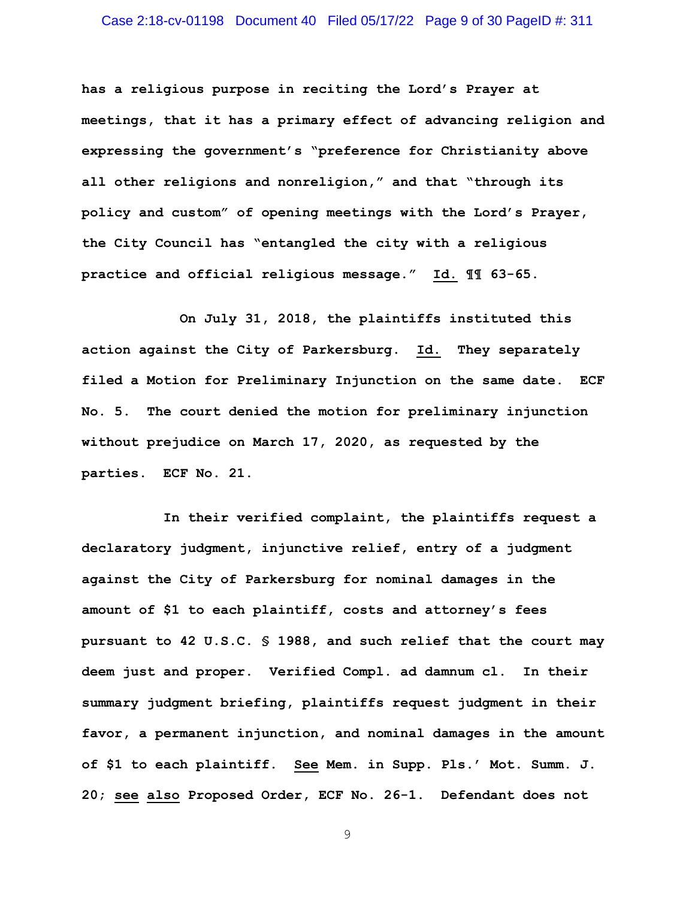## Case 2:18-cv-01198 Document 40 Filed 05/17/22 Page 9 of 30 PageID #: 311

**has a religious purpose in reciting the Lord's Prayer at meetings, that it has a primary effect of advancing religion and expressing the government's "preference for Christianity above all other religions and nonreligion," and that "through its policy and custom" of opening meetings with the Lord's Prayer, the City Council has "entangled the city with a religious practice and official religious message." Id. ¶¶ 63-65.** 

 **On July 31, 2018, the plaintiffs instituted this action against the City of Parkersburg. Id. They separately filed a Motion for Preliminary Injunction on the same date. ECF No. 5. The court denied the motion for preliminary injunction without prejudice on March 17, 2020, as requested by the parties. ECF No. 21.** 

**In their verified complaint, the plaintiffs request a declaratory judgment, injunctive relief, entry of a judgment against the City of Parkersburg for nominal damages in the amount of \$1 to each plaintiff, costs and attorney's fees pursuant to 42 U.S.C. § 1988, and such relief that the court may deem just and proper. Verified Compl. ad damnum cl. In their summary judgment briefing, plaintiffs request judgment in their favor, a permanent injunction, and nominal damages in the amount of \$1 to each plaintiff. See Mem. in Supp. Pls.' Mot. Summ. J. 20; see also Proposed Order, ECF No. 26-1. Defendant does not**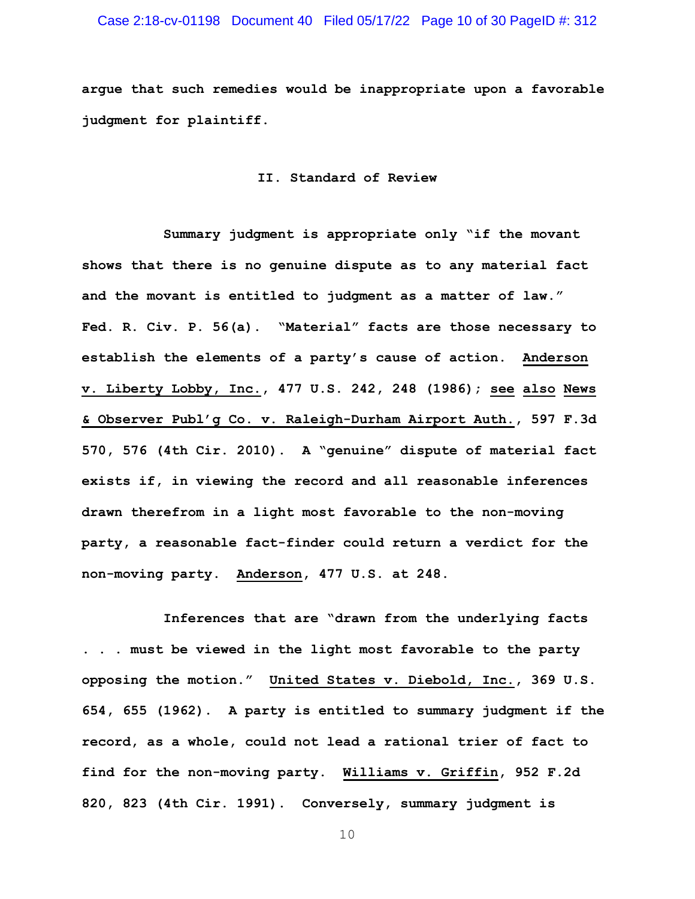# Case 2:18-cv-01198 Document 40 Filed 05/17/22 Page 10 of 30 PageID #: 312

**argue that such remedies would be inappropriate upon a favorable judgment for plaintiff.** 

**II. Standard of Review** 

**Summary judgment is appropriate only "if the movant shows that there is no genuine dispute as to any material fact and the movant is entitled to judgment as a matter of law." Fed. R. Civ. P. 56(a). "Material" facts are those necessary to establish the elements of a party's cause of action. Anderson v. Liberty Lobby, Inc., 477 U.S. 242, 248 (1986); see also News & Observer Publ'g Co. v. Raleigh-Durham Airport Auth., 597 F.3d 570, 576 (4th Cir. 2010). A "genuine" dispute of material fact exists if, in viewing the record and all reasonable inferences drawn therefrom in a light most favorable to the non-moving party, a reasonable fact-finder could return a verdict for the non-moving party. Anderson, 477 U.S. at 248.** 

**Inferences that are "drawn from the underlying facts . . . must be viewed in the light most favorable to the party opposing the motion." United States v. Diebold, Inc., 369 U.S. 654, 655 (1962). A party is entitled to summary judgment if the record, as a whole, could not lead a rational trier of fact to find for the non-moving party. Williams v. Griffin, 952 F.2d 820, 823 (4th Cir. 1991). Conversely, summary judgment is**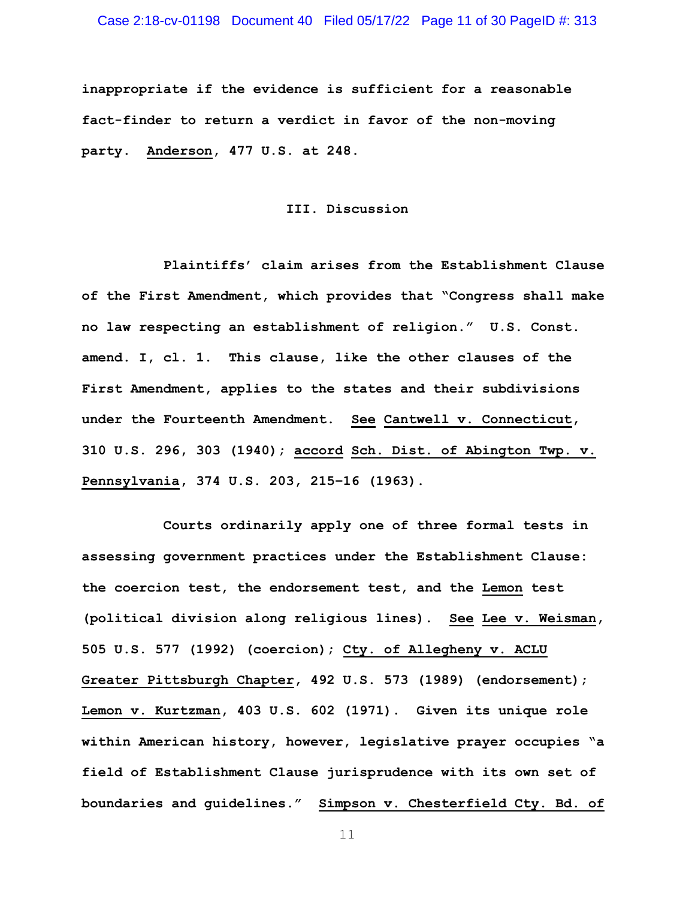**inappropriate if the evidence is sufficient for a reasonable fact-finder to return a verdict in favor of the non-moving party. Anderson, 477 U.S. at 248.** 

#### **III. Discussion**

**Plaintiffs' claim arises from the Establishment Clause of the First Amendment, which provides that "Congress shall make no law respecting an establishment of religion." U.S. Const. amend. I, cl. 1. This clause, like the other clauses of the First Amendment, applies to the states and their subdivisions under the Fourteenth Amendment. See Cantwell v. Connecticut, 310 U.S. 296, 303 (1940); accord Sch. Dist. of Abington Twp. v. Pennsylvania, 374 U.S. 203, 215–16 (1963).** 

**Courts ordinarily apply one of three formal tests in assessing government practices under the Establishment Clause: the coercion test, the endorsement test, and the Lemon test (political division along religious lines). See Lee v. Weisman, 505 U.S. 577 (1992) (coercion); Cty. of Allegheny v. ACLU Greater Pittsburgh Chapter, 492 U.S. 573 (1989) (endorsement); Lemon v. Kurtzman, 403 U.S. 602 (1971). Given its unique role within American history, however, legislative prayer occupies "a field of Establishment Clause jurisprudence with its own set of boundaries and guidelines." Simpson v. Chesterfield Cty. Bd. of**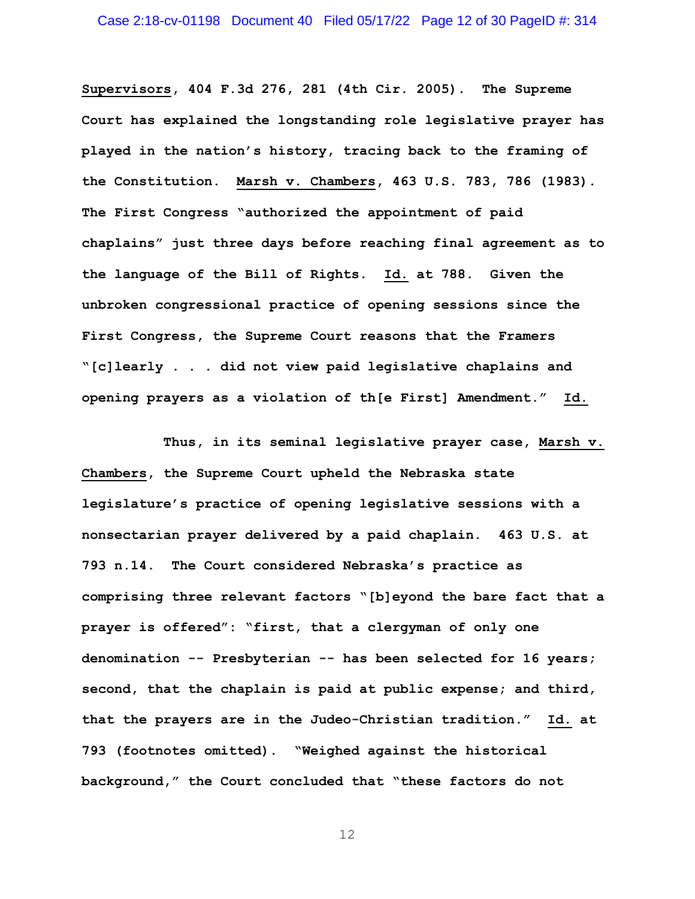**Supervisors, 404 F.3d 276, 281 (4th Cir. 2005). The Supreme Court has explained the longstanding role legislative prayer has played in the nation's history, tracing back to the framing of the Constitution. Marsh v. Chambers, 463 U.S. 783, 786 (1983). The First Congress "authorized the appointment of paid chaplains" just three days before reaching final agreement as to the language of the Bill of Rights. Id. at 788. Given the unbroken congressional practice of opening sessions since the First Congress, the Supreme Court reasons that the Framers "[c]learly . . . did not view paid legislative chaplains and opening prayers as a violation of th[e First] Amendment." Id.** 

**Thus, in its seminal legislative prayer case, Marsh v. Chambers, the Supreme Court upheld the Nebraska state legislature's practice of opening legislative sessions with a nonsectarian prayer delivered by a paid chaplain. 463 U.S. at 793 n.14. The Court considered Nebraska's practice as comprising three relevant factors "[b]eyond the bare fact that a prayer is offered": "first, that a clergyman of only one denomination -- Presbyterian -- has been selected for 16 years; second, that the chaplain is paid at public expense; and third, that the prayers are in the Judeo-Christian tradition." Id. at 793 (footnotes omitted). "Weighed against the historical background," the Court concluded that "these factors do not**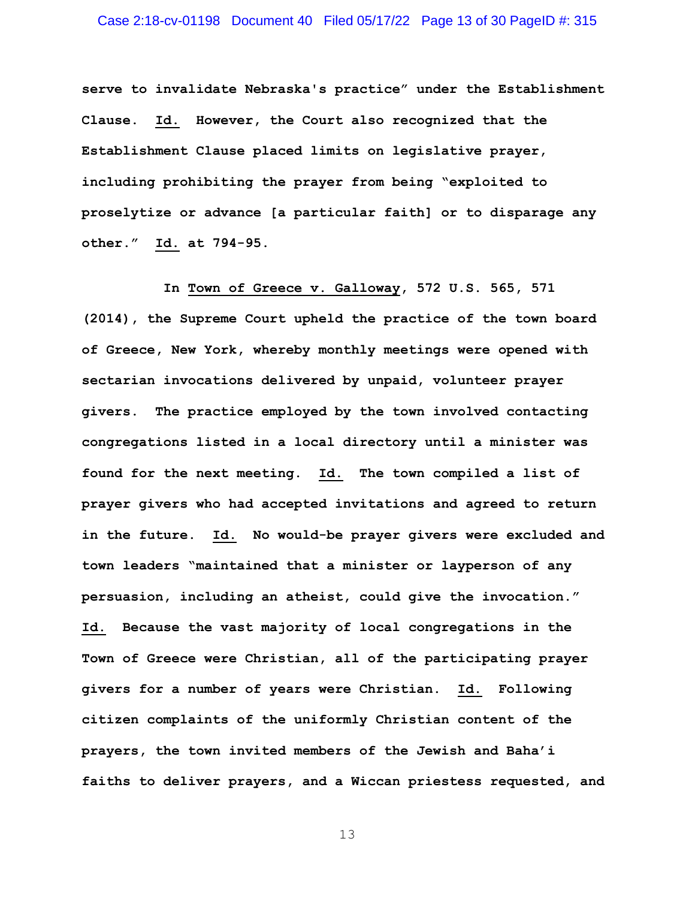**serve to invalidate Nebraska's practice" under the Establishment Clause. Id. However, the Court also recognized that the Establishment Clause placed limits on legislative prayer, including prohibiting the prayer from being "exploited to proselytize or advance [a particular faith] or to disparage any other." Id. at 794-95.** 

**In Town of Greece v. Galloway, 572 U.S. 565, 571 (2014), the Supreme Court upheld the practice of the town board of Greece, New York, whereby monthly meetings were opened with sectarian invocations delivered by unpaid, volunteer prayer givers. The practice employed by the town involved contacting congregations listed in a local directory until a minister was found for the next meeting. Id. The town compiled a list of prayer givers who had accepted invitations and agreed to return in the future. Id. No would-be prayer givers were excluded and town leaders "maintained that a minister or layperson of any persuasion, including an atheist, could give the invocation." Id. Because the vast majority of local congregations in the Town of Greece were Christian, all of the participating prayer givers for a number of years were Christian. Id. Following citizen complaints of the uniformly Christian content of the prayers, the town invited members of the Jewish and Baha'i faiths to deliver prayers, and a Wiccan priestess requested, and**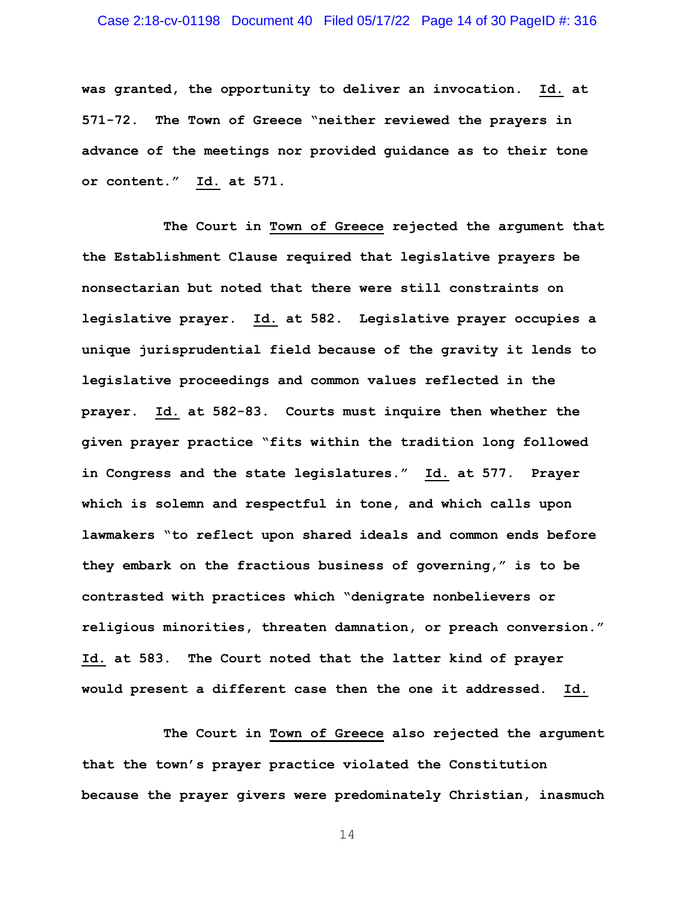## Case 2:18-cv-01198 Document 40 Filed 05/17/22 Page 14 of 30 PageID #: 316

**was granted, the opportunity to deliver an invocation. Id. at 571-72. The Town of Greece "neither reviewed the prayers in advance of the meetings nor provided guidance as to their tone or content." Id. at 571.** 

**The Court in Town of Greece rejected the argument that the Establishment Clause required that legislative prayers be nonsectarian but noted that there were still constraints on legislative prayer. Id. at 582. Legislative prayer occupies a unique jurisprudential field because of the gravity it lends to legislative proceedings and common values reflected in the prayer. Id. at 582-83. Courts must inquire then whether the given prayer practice "fits within the tradition long followed in Congress and the state legislatures." Id. at 577. Prayer which is solemn and respectful in tone, and which calls upon lawmakers "to reflect upon shared ideals and common ends before they embark on the fractious business of governing," is to be contrasted with practices which "denigrate nonbelievers or religious minorities, threaten damnation, or preach conversion." Id. at 583. The Court noted that the latter kind of prayer would present a different case then the one it addressed. Id.** 

**The Court in Town of Greece also rejected the argument that the town's prayer practice violated the Constitution because the prayer givers were predominately Christian, inasmuch**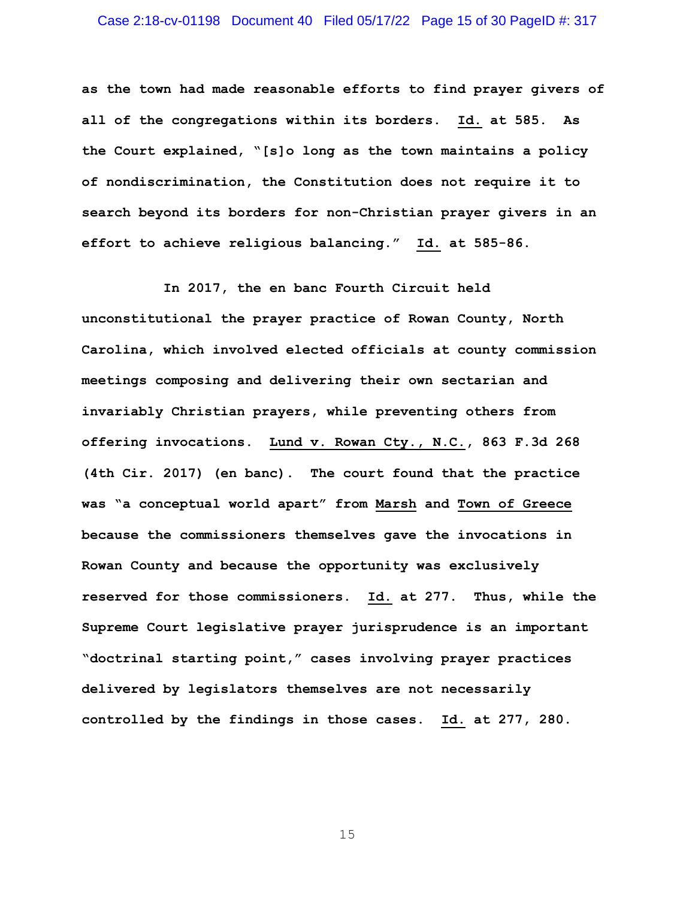**as the town had made reasonable efforts to find prayer givers of all of the congregations within its borders. Id. at 585. As the Court explained, "[s]o long as the town maintains a policy of nondiscrimination, the Constitution does not require it to search beyond its borders for non-Christian prayer givers in an effort to achieve religious balancing." Id. at 585-86.** 

**In 2017, the en banc Fourth Circuit held unconstitutional the prayer practice of Rowan County, North Carolina, which involved elected officials at county commission meetings composing and delivering their own sectarian and invariably Christian prayers, while preventing others from offering invocations. Lund v. Rowan Cty., N.C., 863 F.3d 268 (4th Cir. 2017) (en banc). The court found that the practice was "a conceptual world apart" from Marsh and Town of Greece because the commissioners themselves gave the invocations in Rowan County and because the opportunity was exclusively reserved for those commissioners. Id. at 277. Thus, while the Supreme Court legislative prayer jurisprudence is an important "doctrinal starting point," cases involving prayer practices delivered by legislators themselves are not necessarily controlled by the findings in those cases. Id. at 277, 280.**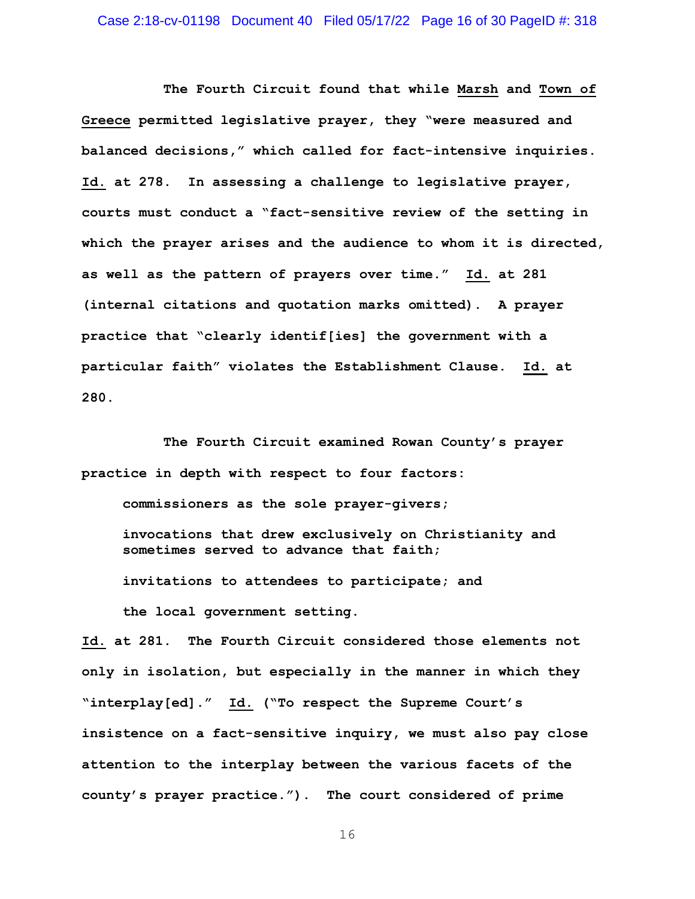**The Fourth Circuit found that while Marsh and Town of Greece permitted legislative prayer, they "were measured and balanced decisions," which called for fact-intensive inquiries. Id. at 278. In assessing a challenge to legislative prayer, courts must conduct a "fact-sensitive review of the setting in which the prayer arises and the audience to whom it is directed, as well as the pattern of prayers over time." Id. at 281 (internal citations and quotation marks omitted). A prayer practice that "clearly identif[ies] the government with a particular faith" violates the Establishment Clause. Id. at 280.** 

**The Fourth Circuit examined Rowan County's prayer practice in depth with respect to four factors:** 

**commissioners as the sole prayer-givers;** 

**invocations that drew exclusively on Christianity and sometimes served to advance that faith;** 

**invitations to attendees to participate; and** 

**the local government setting.** 

**Id. at 281. The Fourth Circuit considered those elements not only in isolation, but especially in the manner in which they "interplay[ed]." Id. ("To respect the Supreme Court's insistence on a fact-sensitive inquiry, we must also pay close attention to the interplay between the various facets of the county's prayer practice."). The court considered of prime**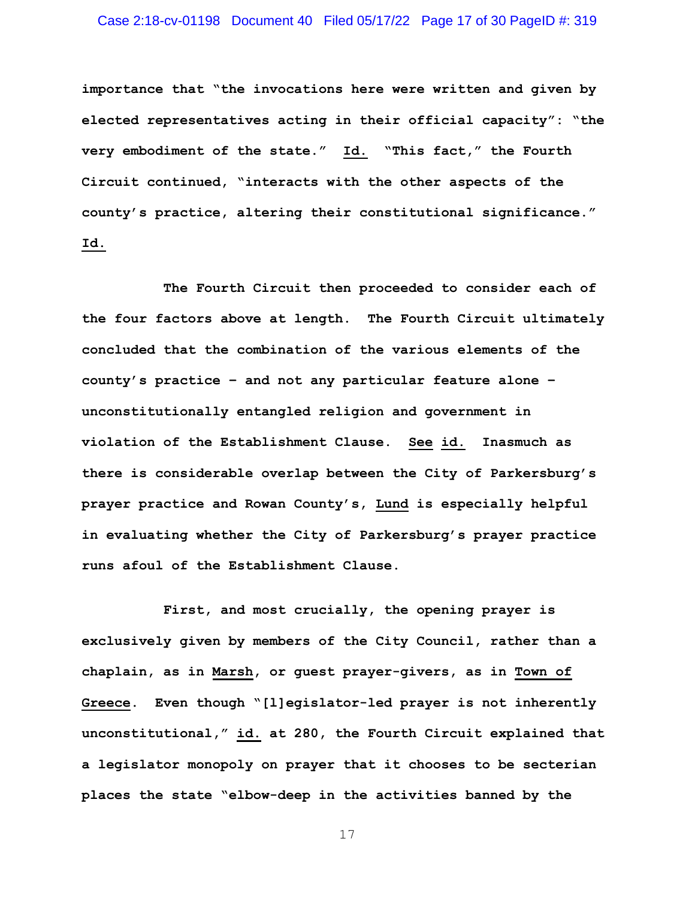# Case 2:18-cv-01198 Document 40 Filed 05/17/22 Page 17 of 30 PageID #: 319

**importance that "the invocations here were written and given by elected representatives acting in their official capacity": "the very embodiment of the state." Id. "This fact," the Fourth Circuit continued, "interacts with the other aspects of the county's practice, altering their constitutional significance." Id.** 

**The Fourth Circuit then proceeded to consider each of the four factors above at length. The Fourth Circuit ultimately concluded that the combination of the various elements of the county's practice – and not any particular feature alone – unconstitutionally entangled religion and government in violation of the Establishment Clause. See id. Inasmuch as there is considerable overlap between the City of Parkersburg's prayer practice and Rowan County's, Lund is especially helpful in evaluating whether the City of Parkersburg's prayer practice runs afoul of the Establishment Clause.** 

**First, and most crucially, the opening prayer is exclusively given by members of the City Council, rather than a chaplain, as in Marsh, or guest prayer-givers, as in Town of Greece. Even though "[l]egislator-led prayer is not inherently unconstitutional," id. at 280, the Fourth Circuit explained that a legislator monopoly on prayer that it chooses to be secterian places the state "elbow-deep in the activities banned by the**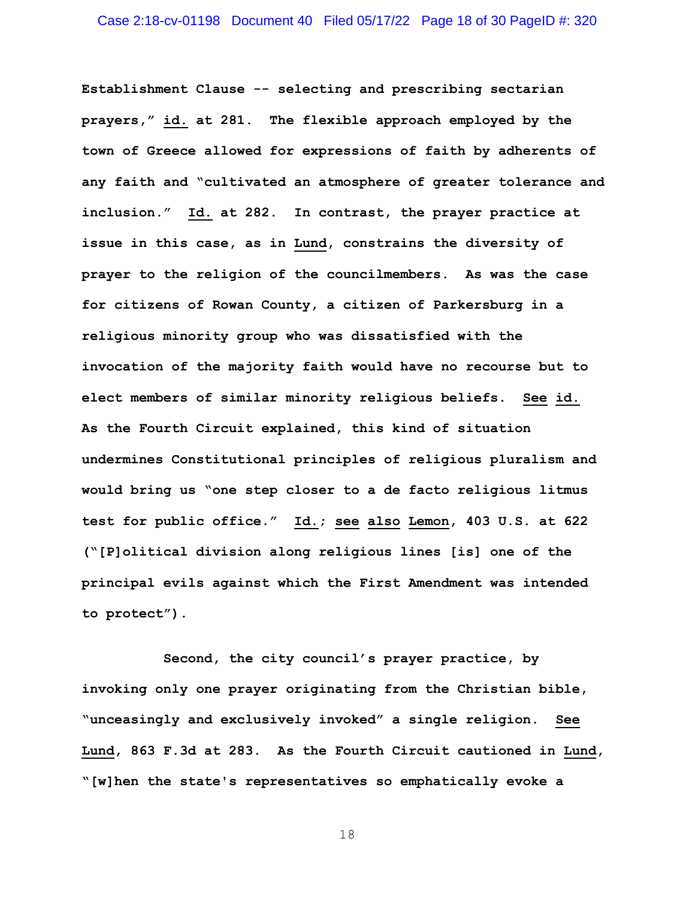**Establishment Clause -- selecting and prescribing sectarian prayers," id. at 281. The flexible approach employed by the town of Greece allowed for expressions of faith by adherents of any faith and "cultivated an atmosphere of greater tolerance and inclusion." Id. at 282. In contrast, the prayer practice at issue in this case, as in Lund, constrains the diversity of prayer to the religion of the councilmembers. As was the case for citizens of Rowan County, a citizen of Parkersburg in a religious minority group who was dissatisfied with the invocation of the majority faith would have no recourse but to elect members of similar minority religious beliefs. See id. As the Fourth Circuit explained, this kind of situation undermines Constitutional principles of religious pluralism and would bring us "one step closer to a de facto religious litmus test for public office." Id.; see also Lemon, 403 U.S. at 622 ("[P]olitical division along religious lines [is] one of the principal evils against which the First Amendment was intended to protect").** 

**Second, the city council's prayer practice, by invoking only one prayer originating from the Christian bible, "unceasingly and exclusively invoked" a single religion. See Lund, 863 F.3d at 283. As the Fourth Circuit cautioned in Lund, "[w]hen the state's representatives so emphatically evoke a**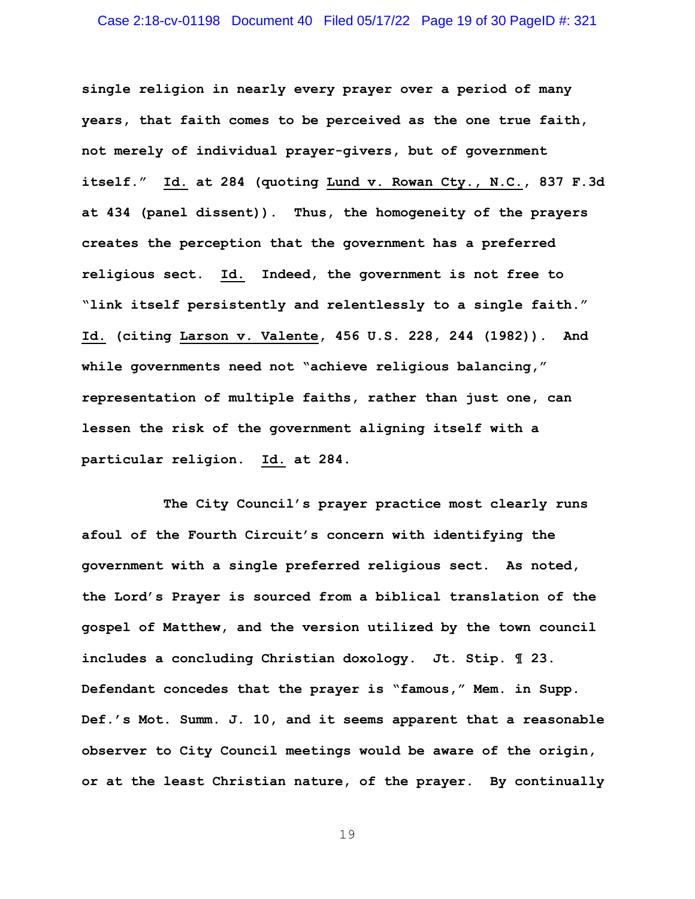**single religion in nearly every prayer over a period of many years, that faith comes to be perceived as the one true faith, not merely of individual prayer-givers, but of government itself." Id. at 284 (quoting Lund v. Rowan Cty., N.C., 837 F.3d at 434 (panel dissent)). Thus, the homogeneity of the prayers creates the perception that the government has a preferred religious sect. Id. Indeed, the government is not free to "link itself persistently and relentlessly to a single faith." Id. (citing Larson v. Valente, 456 U.S. 228, 244 (1982)). And while governments need not "achieve religious balancing," representation of multiple faiths, rather than just one, can lessen the risk of the government aligning itself with a particular religion. Id. at 284.** 

**The City Council's prayer practice most clearly runs afoul of the Fourth Circuit's concern with identifying the government with a single preferred religious sect. As noted, the Lord's Prayer is sourced from a biblical translation of the gospel of Matthew, and the version utilized by the town council includes a concluding Christian doxology. Jt. Stip. ¶ 23. Defendant concedes that the prayer is "famous," Mem. in Supp. Def.'s Mot. Summ. J. 10, and it seems apparent that a reasonable observer to City Council meetings would be aware of the origin, or at the least Christian nature, of the prayer. By continually**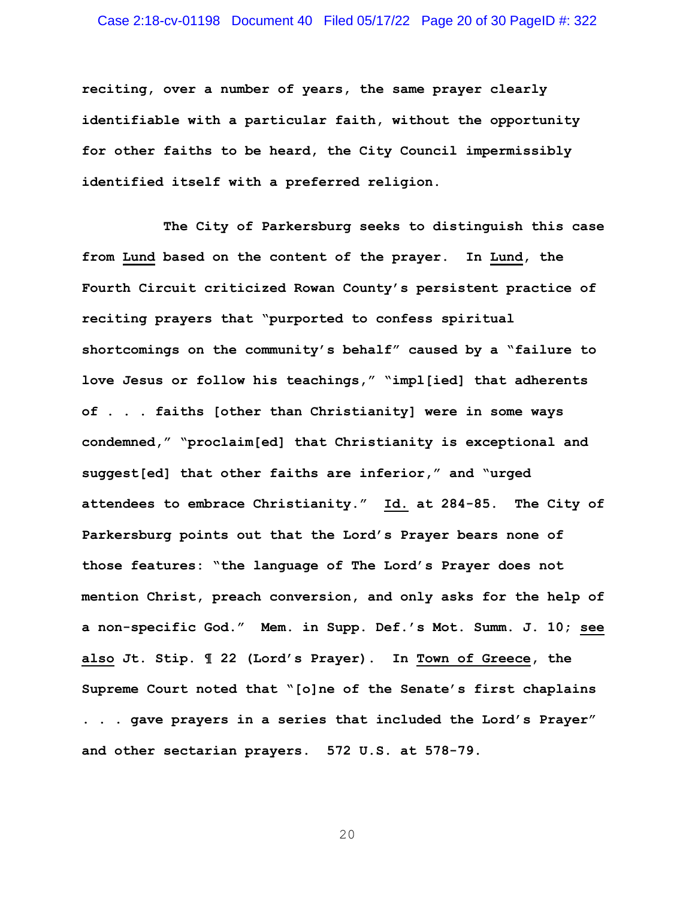# Case 2:18-cv-01198 Document 40 Filed 05/17/22 Page 20 of 30 PageID #: 322

**reciting, over a number of years, the same prayer clearly identifiable with a particular faith, without the opportunity for other faiths to be heard, the City Council impermissibly identified itself with a preferred religion.** 

**The City of Parkersburg seeks to distinguish this case from Lund based on the content of the prayer. In Lund, the Fourth Circuit criticized Rowan County's persistent practice of reciting prayers that "purported to confess spiritual shortcomings on the community's behalf" caused by a "failure to love Jesus or follow his teachings," "impl[ied] that adherents of . . . faiths [other than Christianity] were in some ways condemned," "proclaim[ed] that Christianity is exceptional and suggest[ed] that other faiths are inferior," and "urged attendees to embrace Christianity." Id. at 284-85. The City of Parkersburg points out that the Lord's Prayer bears none of those features: "the language of The Lord's Prayer does not mention Christ, preach conversion, and only asks for the help of a non-specific God." Mem. in Supp. Def.'s Mot. Summ. J. 10; see also Jt. Stip. ¶ 22 (Lord's Prayer). In Town of Greece, the Supreme Court noted that "[o]ne of the Senate's first chaplains . . . gave prayers in a series that included the Lord's Prayer" and other sectarian prayers. 572 U.S. at 578-79.**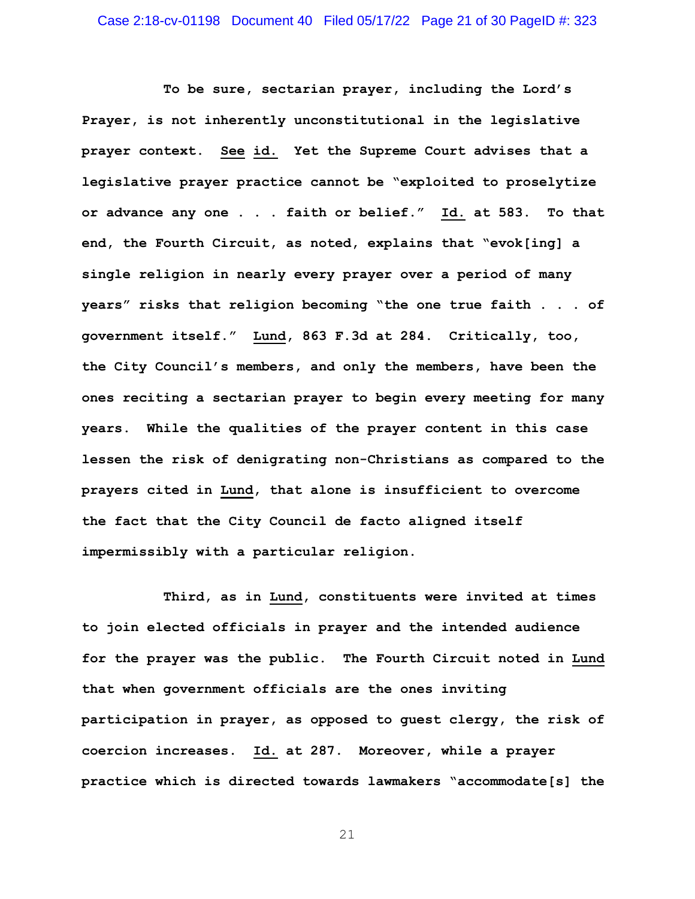**To be sure, sectarian prayer, including the Lord's Prayer, is not inherently unconstitutional in the legislative prayer context. See id. Yet the Supreme Court advises that a legislative prayer practice cannot be "exploited to proselytize or advance any one . . . faith or belief." Id. at 583. To that end, the Fourth Circuit, as noted, explains that "evok[ing] a single religion in nearly every prayer over a period of many years" risks that religion becoming "the one true faith . . . of government itself." Lund, 863 F.3d at 284. Critically, too, the City Council's members, and only the members, have been the ones reciting a sectarian prayer to begin every meeting for many years. While the qualities of the prayer content in this case lessen the risk of denigrating non-Christians as compared to the prayers cited in Lund, that alone is insufficient to overcome the fact that the City Council de facto aligned itself impermissibly with a particular religion.** 

**Third, as in Lund, constituents were invited at times to join elected officials in prayer and the intended audience for the prayer was the public. The Fourth Circuit noted in Lund that when government officials are the ones inviting participation in prayer, as opposed to guest clergy, the risk of coercion increases. Id. at 287. Moreover, while a prayer practice which is directed towards lawmakers "accommodate[s] the**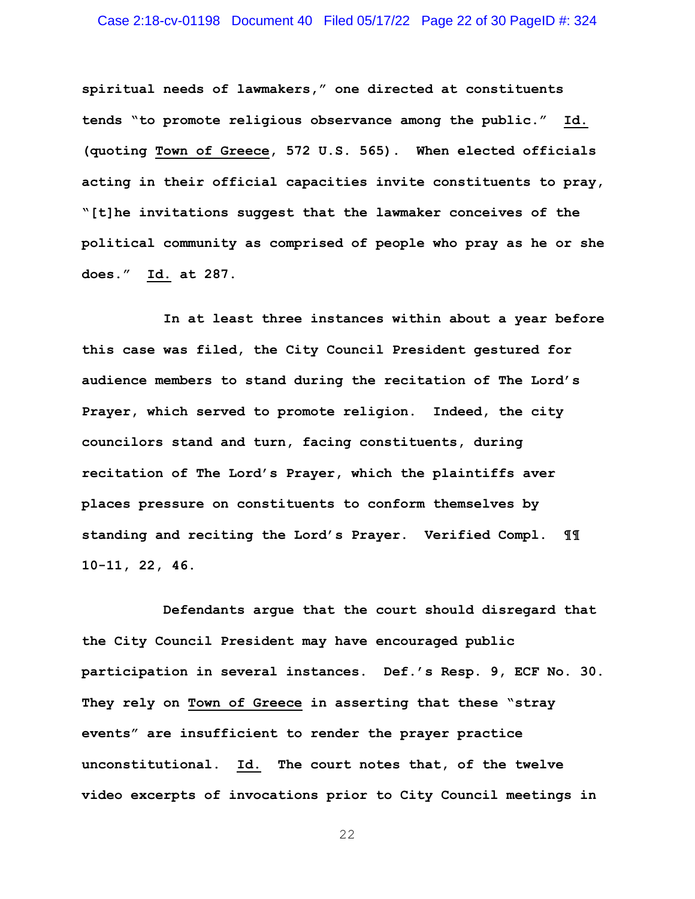# Case 2:18-cv-01198 Document 40 Filed 05/17/22 Page 22 of 30 PageID #: 324

**spiritual needs of lawmakers," one directed at constituents tends "to promote religious observance among the public." Id. (quoting Town of Greece, 572 U.S. 565). When elected officials acting in their official capacities invite constituents to pray, "[t]he invitations suggest that the lawmaker conceives of the political community as comprised of people who pray as he or she does." Id. at 287.** 

**In at least three instances within about a year before this case was filed, the City Council President gestured for audience members to stand during the recitation of The Lord's Prayer, which served to promote religion. Indeed, the city councilors stand and turn, facing constituents, during recitation of The Lord's Prayer, which the plaintiffs aver places pressure on constituents to conform themselves by standing and reciting the Lord's Prayer. Verified Compl. ¶¶ 10-11, 22, 46.** 

**Defendants argue that the court should disregard that the City Council President may have encouraged public participation in several instances. Def.'s Resp. 9, ECF No. 30. They rely on Town of Greece in asserting that these "stray events" are insufficient to render the prayer practice unconstitutional. Id. The court notes that, of the twelve video excerpts of invocations prior to City Council meetings in**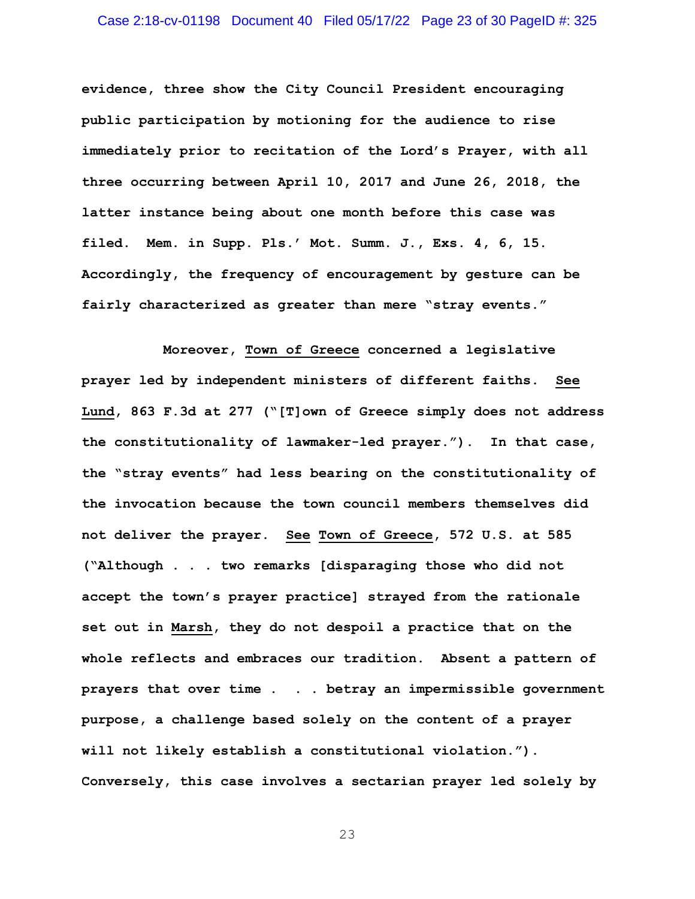# Case 2:18-cv-01198 Document 40 Filed 05/17/22 Page 23 of 30 PageID #: 325

**evidence, three show the City Council President encouraging public participation by motioning for the audience to rise immediately prior to recitation of the Lord's Prayer, with all three occurring between April 10, 2017 and June 26, 2018, the latter instance being about one month before this case was filed. Mem. in Supp. Pls.' Mot. Summ. J., Exs. 4, 6, 15. Accordingly, the frequency of encouragement by gesture can be fairly characterized as greater than mere "stray events."** 

**Moreover, Town of Greece concerned a legislative prayer led by independent ministers of different faiths. See Lund, 863 F.3d at 277 ("[T]own of Greece simply does not address the constitutionality of lawmaker-led prayer."). In that case, the "stray events" had less bearing on the constitutionality of the invocation because the town council members themselves did not deliver the prayer. See Town of Greece, 572 U.S. at 585 ("Although . . . two remarks [disparaging those who did not accept the town's prayer practice] strayed from the rationale set out in Marsh, they do not despoil a practice that on the whole reflects and embraces our tradition. Absent a pattern of prayers that over time . . . betray an impermissible government purpose, a challenge based solely on the content of a prayer will not likely establish a constitutional violation."). Conversely, this case involves a sectarian prayer led solely by**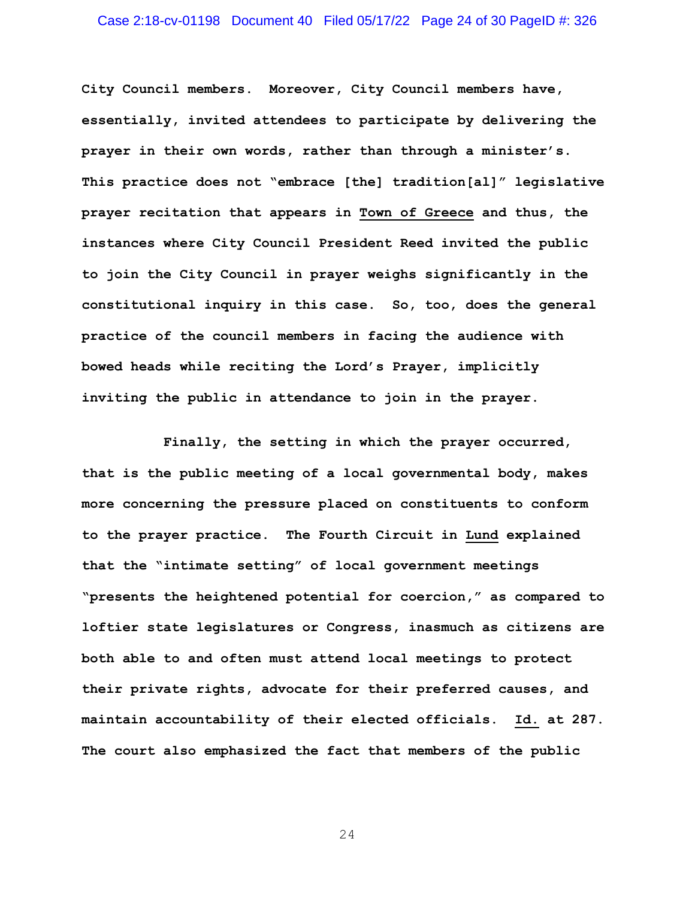## Case 2:18-cv-01198 Document 40 Filed 05/17/22 Page 24 of 30 PageID #: 326

**City Council members. Moreover, City Council members have, essentially, invited attendees to participate by delivering the prayer in their own words, rather than through a minister's. This practice does not "embrace [the] tradition[al]" legislative prayer recitation that appears in Town of Greece and thus, the instances where City Council President Reed invited the public to join the City Council in prayer weighs significantly in the constitutional inquiry in this case. So, too, does the general practice of the council members in facing the audience with bowed heads while reciting the Lord's Prayer, implicitly inviting the public in attendance to join in the prayer.** 

**Finally, the setting in which the prayer occurred, that is the public meeting of a local governmental body, makes more concerning the pressure placed on constituents to conform to the prayer practice. The Fourth Circuit in Lund explained that the "intimate setting" of local government meetings "presents the heightened potential for coercion," as compared to loftier state legislatures or Congress, inasmuch as citizens are both able to and often must attend local meetings to protect their private rights, advocate for their preferred causes, and maintain accountability of their elected officials. Id. at 287. The court also emphasized the fact that members of the public**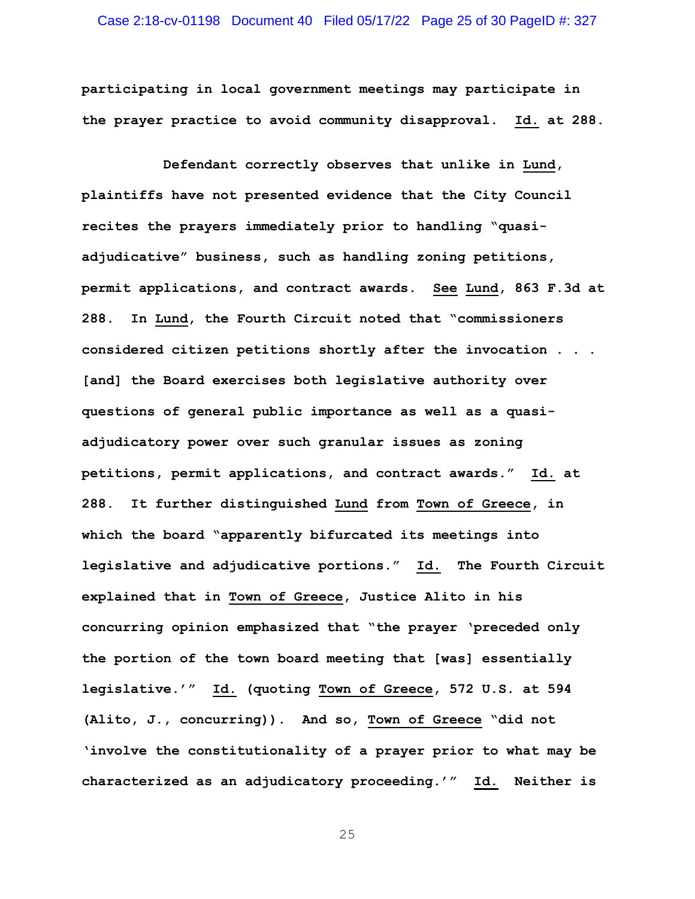# Case 2:18-cv-01198 Document 40 Filed 05/17/22 Page 25 of 30 PageID #: 327

**participating in local government meetings may participate in the prayer practice to avoid community disapproval. Id. at 288.** 

**Defendant correctly observes that unlike in Lund, plaintiffs have not presented evidence that the City Council recites the prayers immediately prior to handling "quasiadjudicative" business, such as handling zoning petitions, permit applications, and contract awards. See Lund, 863 F.3d at 288. In Lund, the Fourth Circuit noted that "commissioners considered citizen petitions shortly after the invocation . . . [and] the Board exercises both legislative authority over questions of general public importance as well as a quasiadjudicatory power over such granular issues as zoning petitions, permit applications, and contract awards." Id. at 288. It further distinguished Lund from Town of Greece, in which the board "apparently bifurcated its meetings into legislative and adjudicative portions." Id. The Fourth Circuit explained that in Town of Greece, Justice Alito in his concurring opinion emphasized that "the prayer 'preceded only the portion of the town board meeting that [was] essentially legislative.'" Id. (quoting Town of Greece, 572 U.S. at 594 (Alito, J., concurring)). And so, Town of Greece "did not 'involve the constitutionality of a prayer prior to what may be characterized as an adjudicatory proceeding.'" Id. Neither is**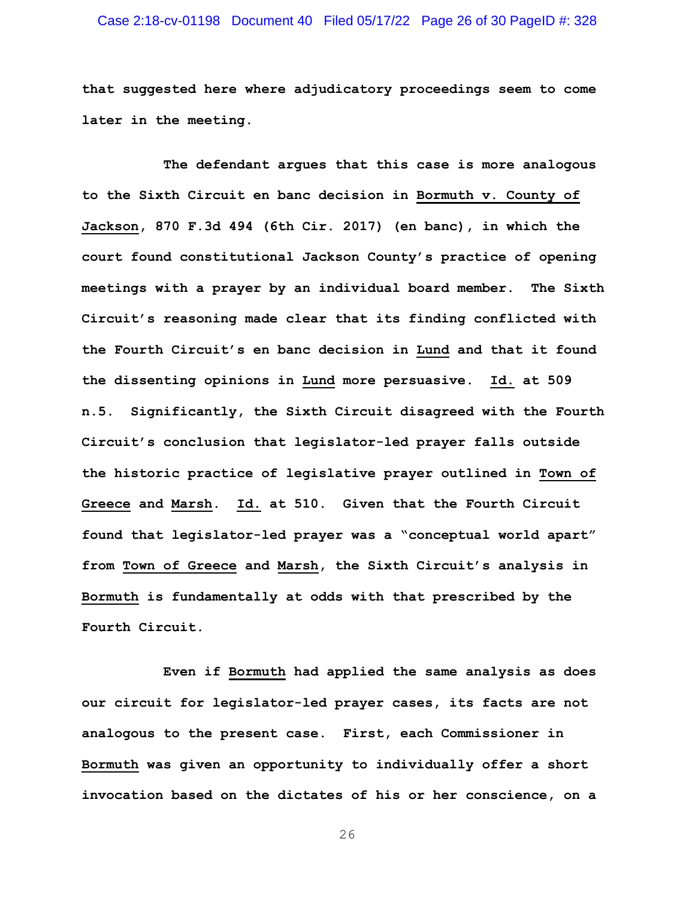# Case 2:18-cv-01198 Document 40 Filed 05/17/22 Page 26 of 30 PageID #: 328

**that suggested here where adjudicatory proceedings seem to come later in the meeting.** 

**The defendant argues that this case is more analogous to the Sixth Circuit en banc decision in Bormuth v. County of Jackson, 870 F.3d 494 (6th Cir. 2017) (en banc), in which the court found constitutional Jackson County's practice of opening meetings with a prayer by an individual board member. The Sixth Circuit's reasoning made clear that its finding conflicted with the Fourth Circuit's en banc decision in Lund and that it found the dissenting opinions in Lund more persuasive. Id. at 509 n.5. Significantly, the Sixth Circuit disagreed with the Fourth Circuit's conclusion that legislator-led prayer falls outside the historic practice of legislative prayer outlined in Town of Greece and Marsh. Id. at 510. Given that the Fourth Circuit found that legislator-led prayer was a "conceptual world apart" from Town of Greece and Marsh, the Sixth Circuit's analysis in Bormuth is fundamentally at odds with that prescribed by the Fourth Circuit.** 

**Even if Bormuth had applied the same analysis as does our circuit for legislator-led prayer cases, its facts are not analogous to the present case. First, each Commissioner in Bormuth was given an opportunity to individually offer a short invocation based on the dictates of his or her conscience, on a**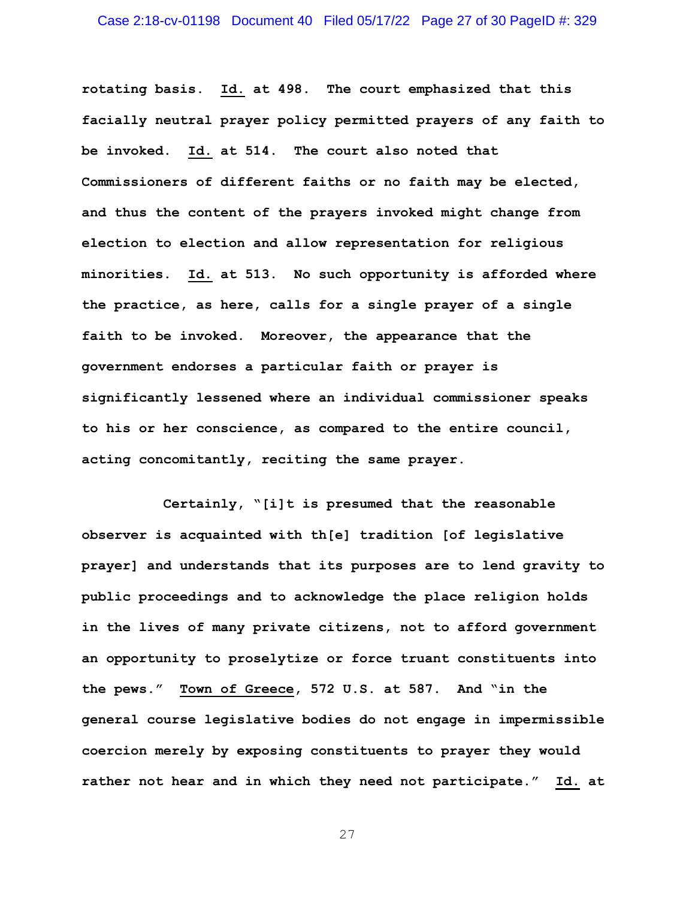**rotating basis. Id. at 498. The court emphasized that this facially neutral prayer policy permitted prayers of any faith to be invoked. Id. at 514. The court also noted that Commissioners of different faiths or no faith may be elected, and thus the content of the prayers invoked might change from election to election and allow representation for religious minorities. Id. at 513. No such opportunity is afforded where the practice, as here, calls for a single prayer of a single faith to be invoked. Moreover, the appearance that the government endorses a particular faith or prayer is significantly lessened where an individual commissioner speaks to his or her conscience, as compared to the entire council, acting concomitantly, reciting the same prayer.** 

**Certainly, "[i]t is presumed that the reasonable observer is acquainted with th[e] tradition [of legislative prayer] and understands that its purposes are to lend gravity to public proceedings and to acknowledge the place religion holds in the lives of many private citizens, not to afford government an opportunity to proselytize or force truant constituents into the pews." Town of Greece, 572 U.S. at 587. And "in the general course legislative bodies do not engage in impermissible coercion merely by exposing constituents to prayer they would rather not hear and in which they need not participate." Id. at**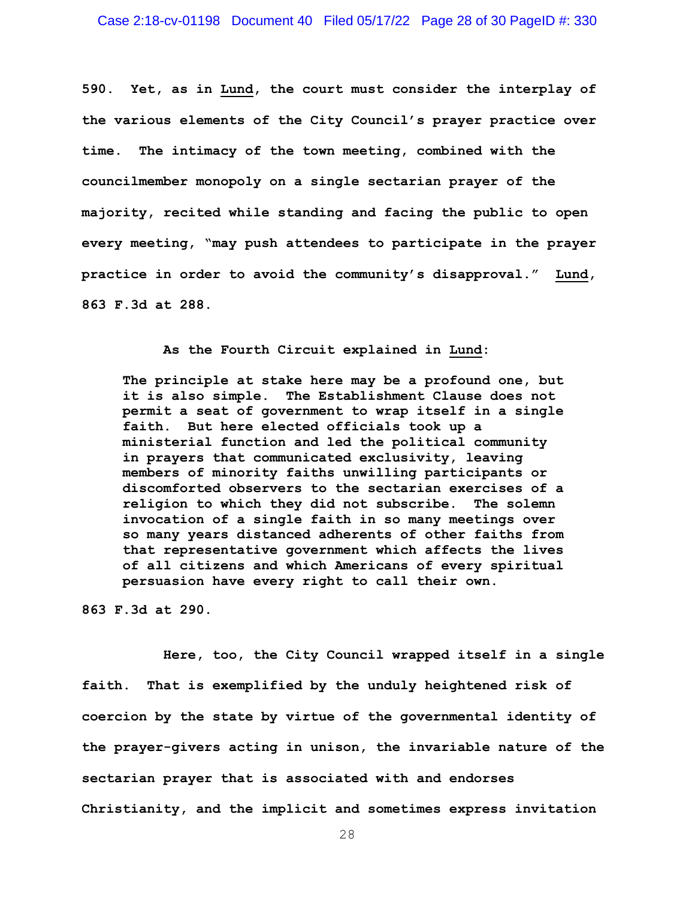**590. Yet, as in Lund, the court must consider the interplay of the various elements of the City Council's prayer practice over time. The intimacy of the town meeting, combined with the councilmember monopoly on a single sectarian prayer of the majority, recited while standing and facing the public to open every meeting, "may push attendees to participate in the prayer practice in order to avoid the community's disapproval." Lund, 863 F.3d at 288.** 

**As the Fourth Circuit explained in Lund:** 

**The principle at stake here may be a profound one, but it is also simple. The Establishment Clause does not permit a seat of government to wrap itself in a single faith. But here elected officials took up a ministerial function and led the political community in prayers that communicated exclusivity, leaving members of minority faiths unwilling participants or discomforted observers to the sectarian exercises of a religion to which they did not subscribe. The solemn invocation of a single faith in so many meetings over so many years distanced adherents of other faiths from that representative government which affects the lives of all citizens and which Americans of every spiritual persuasion have every right to call their own.** 

**863 F.3d at 290.** 

**Here, too, the City Council wrapped itself in a single faith. That is exemplified by the unduly heightened risk of coercion by the state by virtue of the governmental identity of the prayer-givers acting in unison, the invariable nature of the sectarian prayer that is associated with and endorses Christianity, and the implicit and sometimes express invitation**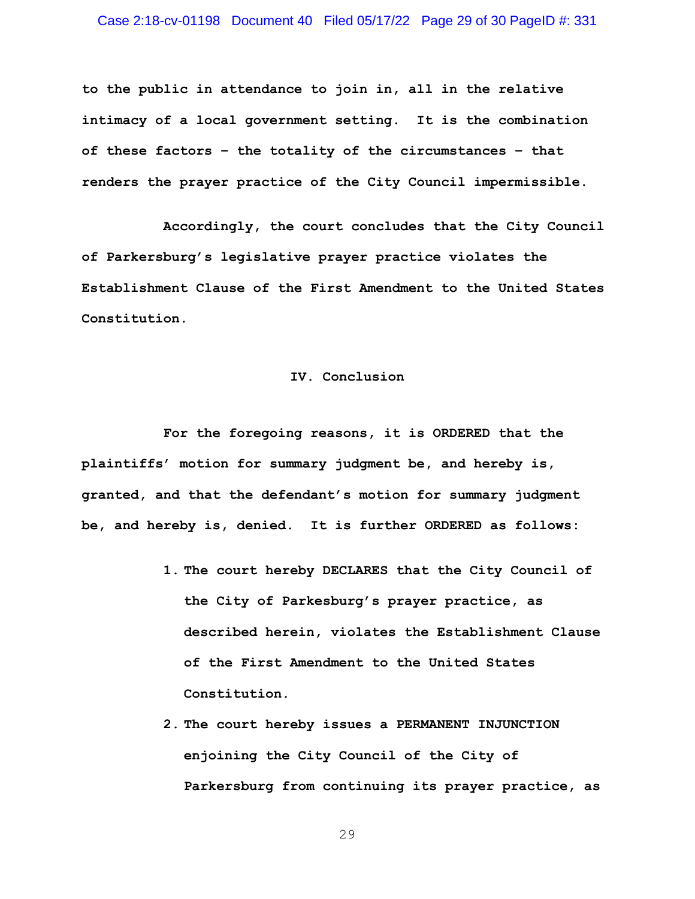## Case 2:18-cv-01198 Document 40 Filed 05/17/22 Page 29 of 30 PageID #: 331

**to the public in attendance to join in, all in the relative intimacy of a local government setting. It is the combination of these factors – the totality of the circumstances – that renders the prayer practice of the City Council impermissible.** 

**Accordingly, the court concludes that the City Council of Parkersburg's legislative prayer practice violates the Establishment Clause of the First Amendment to the United States Constitution.**

# **IV. Conclusion**

**For the foregoing reasons, it is ORDERED that the plaintiffs' motion for summary judgment be, and hereby is, granted, and that the defendant's motion for summary judgment be, and hereby is, denied. It is further ORDERED as follows:**

- **1. The court hereby DECLARES that the City Council of the City of Parkesburg's prayer practice, as described herein, violates the Establishment Clause of the First Amendment to the United States Constitution.**
- **2. The court hereby issues a PERMANENT INJUNCTION enjoining the City Council of the City of Parkersburg from continuing its prayer practice, as**